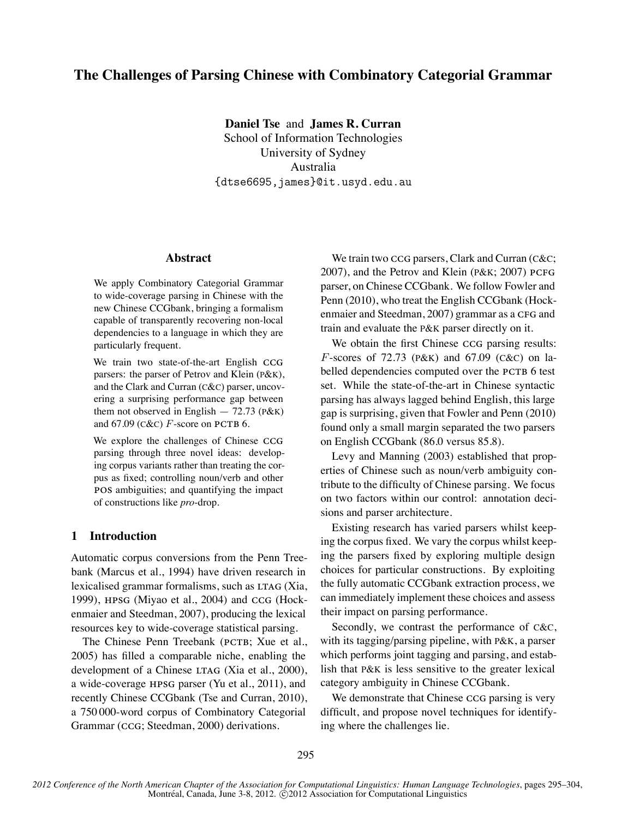# **The Challenges of Parsing Chinese with Combinatory Categorial Grammar**

**Daniel Tse** and **James R. Curran** School of Information Technologies University of Sydney Australia {dtse6695,james}@it.usyd.edu.au

### **Abstract**

We apply Combinatory Categorial Grammar to wide-coverage parsing in Chinese with the new Chinese CCGbank, bringing a formalism capable of transparently recovering non-local dependencies to a language in which they are particularly frequent.

We train two state-of-the-art English CCG parsers: the parser of Petrov and Klein (P&K), and the Clark and Curran (C&C) parser, uncovering a surprising performance gap between them not observed in English  $-72.73$  ( $P&K$ ) and  $67.09$  ( $C\&C$ ) *F*-score on **PCTB** 6.

We explore the challenges of Chinese CCG parsing through three novel ideas: developing corpus variants rather than treating the corpus as fixed; controlling noun/verb and other POS ambiguities; and quantifying the impact of constructions like *pro*-drop.

# **1 Introduction**

Automatic corpus conversions from the Penn Treebank (Marcus et al., 1994) have driven research in lexicalised grammar formalisms, such as LTAG (Xia, 1999),  $HPSG$  (Miyao et al., 2004) and  $CCG$  (Hockenmaier and Steedman, 2007), producing the lexical resources key to wide-coverage statistical parsing.

The Chinese Penn Treebank (PCTB; Xue et al., 2005) has filled a comparable niche, enabling the development of a Chinese LTAG (Xia et al., 2000), a wide-coverage HPSG parser (Yu et al., 2011), and recently Chinese CCGbank (Tse and Curran, 2010), a 750 000-word corpus of Combinatory Categorial Grammar (CCG; Steedman, 2000) derivations.

We train two  $CG$  parsers, Clark and Curran ( $C&C$ ; 2007), and the Petrov and Klein (P&K; 2007) PCFG parser, on Chinese CCGbank. We follow Fowler and Penn (2010), who treat the English CCGbank (Hockenmaier and Steedman, 2007) grammar as a CFG and train and evaluate the P&K parser directly on it.

We obtain the first Chinese CCG parsing results: *F*-scores of 72.73 (P&K) and 67.09 (C&C) on labelled dependencies computed over the PCTB 6 test set. While the state-of-the-art in Chinese syntactic parsing has always lagged behind English, this large gap is surprising, given that Fowler and Penn (2010) found only a small margin separated the two parsers on English CCGbank (86.0 versus 85.8).

Levy and Manning (2003) established that properties of Chinese such as noun/verb ambiguity contribute to the difficulty of Chinese parsing. We focus on two factors within our control: annotation decisions and parser architecture.

Existing research has varied parsers whilst keeping the corpus fixed. We vary the corpus whilst keeping the parsers fixed by exploring multiple design choices for particular constructions. By exploiting the fully automatic CCGbank extraction process, we can immediately implement these choices and assess their impact on parsing performance.

Secondly, we contrast the performance of C&C, with its tagging/parsing pipeline, with P&K, a parser which performs joint tagging and parsing, and establish that P&K is less sensitive to the greater lexical category ambiguity in Chinese CCGbank.

We demonstrate that Chinese CCG parsing is very difficult, and propose novel techniques for identifying where the challenges lie.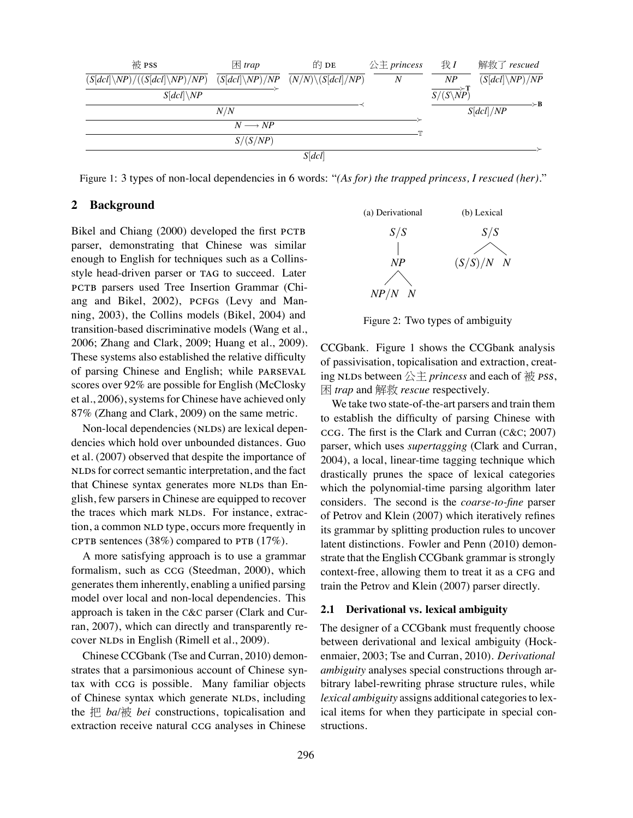

Figure 1: 3 types of non-local dependencies in 6 words: "*(As for) the trapped princess, I rescued (her).*"

# **2 Background**

Bikel and Chiang (2000) developed the first PCTB parser, demonstrating that Chinese was similar enough to English for techniques such as a Collinsstyle head-driven parser or TAG to succeed. Later PCTB parsers used Tree Insertion Grammar (Chiang and Bikel, 2002), PCFGs (Levy and Manning, 2003), the Collins models (Bikel, 2004) and transition-based discriminative models (Wang et al., 2006; Zhang and Clark, 2009; Huang et al., 2009). These systems also established the relative difficulty of parsing Chinese and English; while scores over 92% are possible for English (McClosky et al., 2006), systems for Chinese have achieved only 87% (Zhang and Clark, 2009) on the same metric.

Non-local dependencies (NLDs) are lexical dependencies which hold over unbounded distances. Guo et al. (2007) observed that despite the importance of NLDs for correct semantic interpretation, and the fact that Chinese syntax generates more NLDs than English, few parsers in Chinese are equipped to recover the traces which mark NLDs. For instance, extraction, a common NLD type, occurs more frequently in CPTB sentences (38%) compared to PTB  $(17\%)$ .

A more satisfying approach is to use a grammar formalism, such as CCG (Steedman, 2000), which generates them inherently, enabling a unified parsing model over local and non-local dependencies. This approach is taken in the C&C parser (Clark and Curran, 2007), which can directly and transparently recover NLDs in English (Rimell et al., 2009).

Chinese CCGbank (Tse and Curran, 2010) demonstrates that a parsimonious account of Chinese syntax with CCG is possible. Many familiar objects of Chinese syntax which generate NLDs, including the 把 *ba*/被 *bei* constructions, topicalisation and extraction receive natural CCG analyses in Chinese



Figure 2: Two types of ambiguity

CCGbank. Figure 1 shows the CCGbank analysis of passivisation, topicalisation and extraction, creating NLDs between  $\triangle \ddagger$  *princess* and each of  $\ddot{\text{m}}$  *PSS*, 困 *trap* and 解救 *rescue* respectively.

We take two state-of-the-art parsers and train them to establish the difficulty of parsing Chinese with . The first is the Clark and Curran (C&C; 2007) parser, which uses *supertagging* (Clark and Curran, 2004), a local, linear-time tagging technique which drastically prunes the space of lexical categories which the polynomial-time parsing algorithm later considers. The second is the *coarse-to-fine* parser of Petrov and Klein (2007) which iteratively refines its grammar by splitting production rules to uncover latent distinctions. Fowler and Penn (2010) demonstrate that the English CCGbank grammar is strongly context-free, allowing them to treat it as a CFG and train the Petrov and Klein (2007) parser directly.

#### **2.1 Derivational vs. lexical ambiguity**

The designer of a CCGbank must frequently choose between derivational and lexical ambiguity (Hockenmaier, 2003; Tse and Curran, 2010). *Derivational ambiguity* analyses special constructions through arbitrary label-rewriting phrase structure rules, while *lexical ambiguity* assigns additional categories to lexical items for when they participate in special constructions.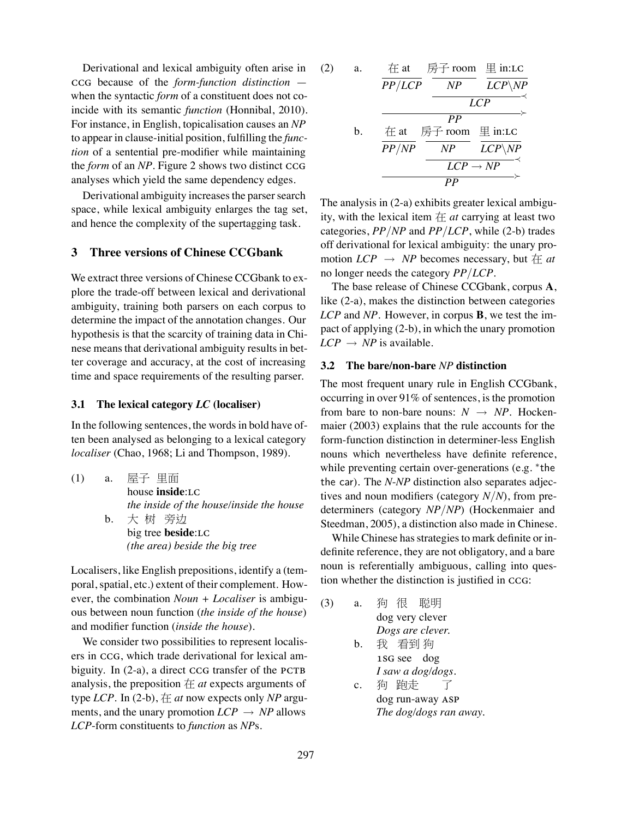Derivational and lexical ambiguity often arise in because of the *form-function distinction* when the syntactic *form* of a constituent does not coincide with its semantic *function* (Honnibal, 2010). For instance, in English, topicalisation causes an *NP* to appear in clause-initial position, fulfilling the *function* of a sentential pre-modifier while maintaining the *form* of an *NP*. Figure 2 shows two distinct analyses which yield the same dependency edges.

Derivational ambiguity increases the parser search space, while lexical ambiguity enlarges the tag set, and hence the complexity of the supertagging task.

# **3 Three versions of Chinese CCGbank**

We extract three versions of Chinese CCGbank to explore the trade-off between lexical and derivational ambiguity, training both parsers on each corpus to determine the impact of the annotation changes. Our hypothesis is that the scarcity of training data in Chinese means that derivational ambiguity results in better coverage and accuracy, at the cost of increasing time and space requirements of the resulting parser.

## **3.1 The lexical category** *LC* **(localiser)**

In the following sentences, the words in bold have often been analysed as belonging to a lexical category *localiser* (Chao, 1968; Li and Thompson, 1989).

(1) a. 屋子 里面 house **inside**: *the inside of the house/inside the house* b. 大 树 旁边 big tree **beside**: *(the area) beside the big tree*

Localisers, like English prepositions, identify a (temporal, spatial, etc.) extent of their complement. However, the combination *Noun + Localiser* is ambiguous between noun function (*the inside of the house*) and modifier function (*inside the house*).

We consider two possibilities to represent localisers in CCG, which trade derivational for lexical ambiguity. In  $(2-a)$ , a direct  $CCG$  transfer of the PCTB analysis, the preposition  $#$  *at* expects arguments of type *LCP*. In (2-b), 在 *at* now expects only *NP* arguments, and the unary promotion  $LCP \rightarrow NP$  allows *LCP*-form constituents to *function* as *NP*s.

(2) a. 
$$
\frac{\text{# at}}{PP/LCP} \xrightarrow{\text{FP} \text{ room}} \frac{\text{# in:LC}}{LCP \setminus NP} \xrightarrow{LCP}
$$
  
b.  $\frac{\text{# at}}{PP/NP} \xrightarrow{\text{FP} \text{ from}} \frac{\text{# in:LC}}{LCP \setminus NP} \xrightarrow{LCP \setminus NP} \frac{\text{# in:LC}}{LCP \rightarrow NP} \xrightarrow{PC}$ 

The analysis in (2-a) exhibits greater lexical ambiguity, with the lexical item  $#$  *at* carrying at least two categories, *PP/NP* and *PP/LCP*, while (2-b) trades off derivational for lexical ambiguity: the unary promotion  $LCP \rightarrow NP$  becomes necessary, but  $# at$ no longer needs the category *PP/LCP*.

The base release of Chinese CCGbank, corpus **A**, like (2-a), makes the distinction between categories *LCP* and *NP*. However, in corpus **B**, we test the impact of applying (2-b), in which the unary promotion  $LCP \rightarrow NP$  is available.

### **3.2 The bare/non-bare** *NP* **distinction**

The most frequent unary rule in English CCGbank, occurring in over 91% of sentences, is the promotion from bare to non-bare nouns:  $N \rightarrow NP$ . Hockenmaier (2003) explains that the rule accounts for the form-function distinction in determiner-less English nouns which nevertheless have definite reference, while preventing certain over-generations (e.g. *∗* the the car). The *N*-*NP* distinction also separates adjectives and noun modifiers (category *N/N*), from predeterminers (category *NP/NP*) (Hockenmaier and Steedman, 2005), a distinction also made in Chinese.

While Chinese has strategies to mark definite or indefinite reference, they are not obligatory, and a bare noun is referentially ambiguous, calling into question whether the distinction is justified in CCG:

| (3) | а.          | 狗 很 聪明                 |
|-----|-------------|------------------------|
|     |             | dog very clever        |
|     |             | Dogs are clever.       |
|     |             | b. 我看到狗                |
|     |             | 1SG see dog            |
|     |             | I saw a dog/dogs.      |
|     | $c_{\cdot}$ | 狗 跑走                   |
|     |             | dog run-away ASP       |
|     |             | The dog/dogs ran away. |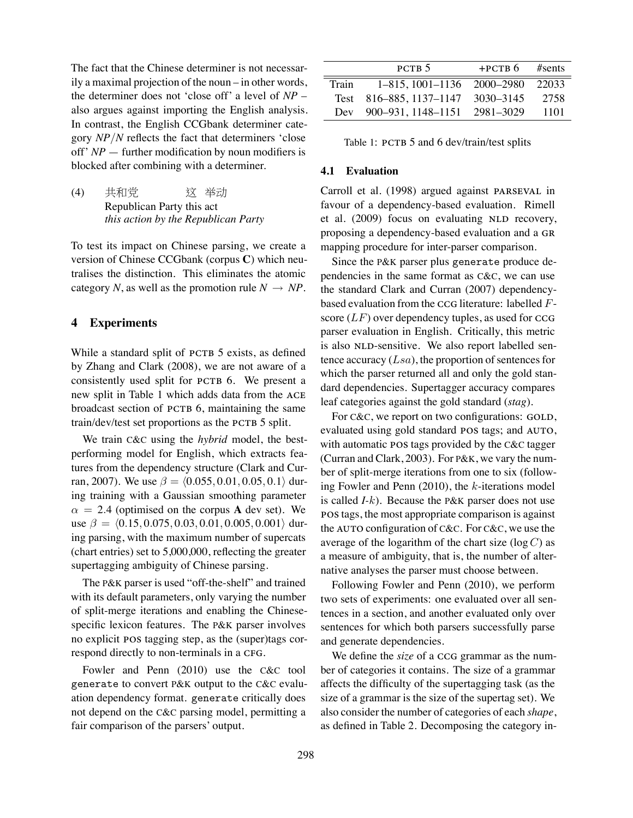The fact that the Chinese determiner is not necessarily a maximal projection of the noun – in other words, the determiner does not 'close off' a level of *NP* – also argues against importing the English analysis. In contrast, the English CCGbank determiner category *NP/N* reflects the fact that determiners 'close off' *NP* — further modification by noun modifiers is blocked after combining with a determiner.

(4) 共和党 Republican Party this act 这 举动 *this action by the Republican Party*

To test its impact on Chinese parsing, we create a version of Chinese CCGbank (corpus **C**) which neutralises the distinction. This eliminates the atomic category *N*, as well as the promotion rule  $N \rightarrow NP$ .

# **4 Experiments**

While a standard split of PCTB 5 exists, as defined by Zhang and Clark (2008), we are not aware of a consistently used split for PCTB 6. We present a new split in Table 1 which adds data from the broadcast section of PCTB 6, maintaining the same train/dev/test set proportions as the PCTB 5 split.

We train C&C using the *hybrid* model, the bestperforming model for English, which extracts features from the dependency structure (Clark and Curran, 2007). We use *β* = *⟨*0*.*055*,* 0*.*01*,* 0*.*05*,* 0*.*1*⟩* during training with a Gaussian smoothing parameter  $\alpha = 2.4$  (optimised on the corpus **A** dev set). We use *β* = *⟨*0*.*15*,* 0*.*075*,* 0*.*03*,* 0*.*01*,* 0*.*005*,* 0*.*001*⟩* during parsing, with the maximum number of supercats (chart entries) set to 5,000,000, reflecting the greater supertagging ambiguity of Chinese parsing.

The P&K parser is used "off-the-shelf" and trained with its default parameters, only varying the number of split-merge iterations and enabling the Chinesespecific lexicon features. The P&K parser involves no explicit POS tagging step, as the (super)tags correspond directly to non-terminals in a CFG.

Fowler and Penn (2010) use the C&C tool generate to convert P&K output to the C&C evaluation dependency format. generate critically does not depend on the C&C parsing model, permitting a fair comparison of the parsers' output.

|       | PCTB <sub>5</sub>                 | $+PCTB6$ #sents |      |
|-------|-----------------------------------|-----------------|------|
| Train | 1–815, 1001–1136 2000–2980 22033  |                 |      |
|       | Test 816-885, 1137-1147 3030-3145 |                 | 2758 |
|       | Dev 900-931, 1148-1151 2981-3029  |                 | 1101 |

Table 1: PCTB 5 and 6 dev/train/test splits

#### **4.1 Evaluation**

Carroll et al. (1998) argued against PARSEVAL in favour of a dependency-based evaluation. Rimell et al. (2009) focus on evaluating NLD recovery, proposing a dependency-based evaluation and a mapping procedure for inter-parser comparison.

Since the P&K parser plus generate produce dependencies in the same format as C&C, we can use the standard Clark and Curran (2007) dependencybased evaluation from the CCG literature: labelled *F*score  $(LF)$  over dependency tuples, as used for CCG parser evaluation in English. Critically, this metric is also NLD-sensitive. We also report labelled sentence accuracy (*Lsa*), the proportion of sentences for which the parser returned all and only the gold standard dependencies. Supertagger accuracy compares leaf categories against the gold standard (*stag*).

For  $C&C$ , we report on two configurations:  $GOLD$ , evaluated using gold standard POS tags; and AUTO, with automatic POS tags provided by the C&C tagger (Curran and Clark, 2003). For P&K, we vary the number of split-merge iterations from one to six (following Fowler and Penn (2010), the *k*-iterations model is called *I-k*). Because the P&K parser does not use pos tags, the most appropriate comparison is against the AUTO configuration of C&C. For C&C, we use the average of the logarithm of the chart size (log *C*) as a measure of ambiguity, that is, the number of alternative analyses the parser must choose between.

Following Fowler and Penn (2010), we perform two sets of experiments: one evaluated over all sentences in a section, and another evaluated only over sentences for which both parsers successfully parse and generate dependencies.

We define the *size* of a CCG grammar as the number of categories it contains. The size of a grammar affects the difficulty of the supertagging task (as the size of a grammar is the size of the supertag set). We also consider the number of categories of each *shape*, as defined in Table 2. Decomposing the category in-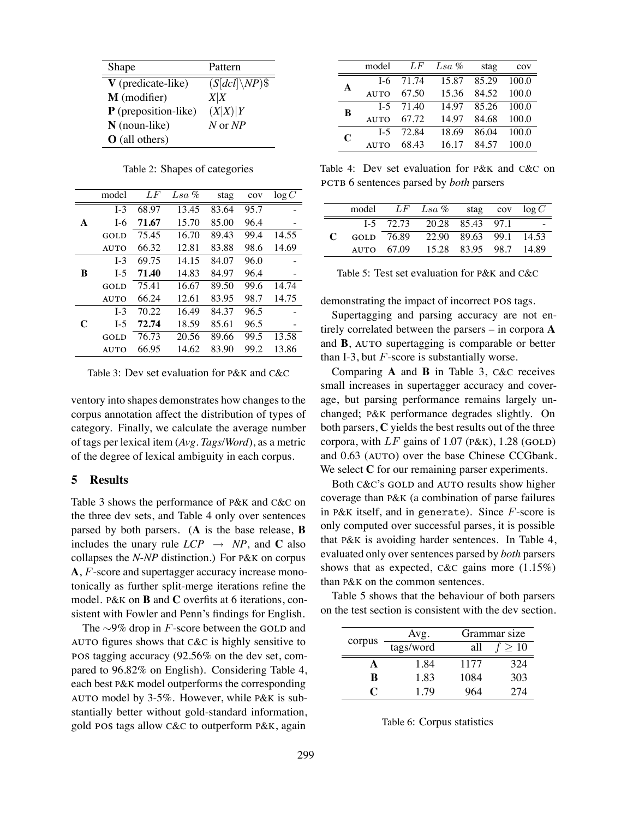| Shape                  | Pattern           |
|------------------------|-------------------|
| $V$ (predicate-like)   | $(S[dcl]\,NP)$ \$ |
| M (modifier)           | X X               |
| $P$ (preposition-like) | (X X) Y           |
| $N$ (noun-like)        | N or NP           |
| O (all others)         |                   |

Table 2: Shapes of categories

|   | model          | LF    | $Lsa\%$ | stag  | cov  | log C |
|---|----------------|-------|---------|-------|------|-------|
|   | L <sub>3</sub> | 68.97 | 13.45   | 83.64 | 95.7 |       |
| A | I-6            | 71.67 | 15.70   | 85.00 | 96.4 |       |
|   | <b>GOLD</b>    | 75.45 | 16.70   | 89.43 | 99.4 | 14.55 |
|   | <b>AUTO</b>    | 66.32 | 12.81   | 83.88 | 98.6 | 14.69 |
|   | L <sub>3</sub> | 69.75 | 14.15   | 84.07 | 96.0 |       |
| B | $I-5$          | 71.40 | 14.83   | 84.97 | 96.4 |       |
|   | <b>GOLD</b>    | 75.41 | 16.67   | 89.50 | 99.6 | 14.74 |
|   | <b>AUTO</b>    | 66.24 | 12.61   | 83.95 | 98.7 | 14.75 |
|   | L <sub>3</sub> | 70.22 | 16.49   | 84.37 | 96.5 |       |
| C | $I-5$          | 72.74 | 18.59   | 85.61 | 96.5 |       |
|   | GOLD           | 76.73 | 20.56   | 89.66 | 99.5 | 13.58 |
|   | <b>AUTO</b>    | 66.95 | 14.62   | 83.90 | 99.2 | 13.86 |

Table 3: Dev set evaluation for P&K and C&C

ventory into shapes demonstrates how changes to the corpus annotation affect the distribution of types of category. Finally, we calculate the average number of tags per lexical item (*Avg. Tags/Word*), as a metric of the degree of lexical ambiguity in each corpus.

## **5 Results**

Table 3 shows the performance of P&K and C&C on the three dev sets, and Table 4 only over sentences parsed by both parsers. (**A** is the base release, **B** includes the unary rule  $LCP \rightarrow NP$ , and **C** also collapses the *N*-*NP* distinction.) For P&K on corpus **A**, *F*-score and supertagger accuracy increase monotonically as further split-merge iterations refine the model. P&K on **B** and **C** overfits at 6 iterations, consistent with Fowler and Penn's findings for English.

The ∼9% drop in *F*-score between the GOLD and AUTO figures shows that C&C is highly sensitive to POS tagging accuracy  $(92.56\%$  on the dev set, compared to 96.82% on English). Considering Table 4, each best P&K model outperforms the corresponding model by 3-5%. However, while P&K is substantially better without gold-standard information, gold POS tags allow C&C to outperform P&K, again

|   | model          | LF          | $Lsa\%$ | stag  | cov   |
|---|----------------|-------------|---------|-------|-------|
| A |                | $I-6$ 71.74 | 15.87   | 85.29 | 100.0 |
|   | <b>AUTO</b>    | 67.50       | 15.36   | 84.52 | 100.0 |
| B |                | $I-5$ 71.40 | 14.97   | 85.26 | 100.0 |
|   | <b>AUTO</b>    | 67.72       | 14.97   | 84.68 | 100.0 |
| C | L <sub>5</sub> | 72.84       | 18.69   | 86.04 | 100.0 |
|   | <b>AUTO</b>    | 68.43       | 16.17   | 84.57 | 100.0 |

Table 4: Dev set evaluation for P&K and C&C on 6 sentences parsed by *both* parsers

|     |                        | model LF Lsa % stag cov $log C$      |  |  |
|-----|------------------------|--------------------------------------|--|--|
|     |                        | $1-5$ $72.73$ $20.28$ $85.43$ $97.1$ |  |  |
| - 0 |                        | GOLD 76.89 22.90 89.63 99.1 14.53    |  |  |
|     | $_{\text{AUTO}}$ 67.09 | 15.28 83.95 98.7 14.89               |  |  |

Table 5: Test set evaluation for P&K and C&C

demonstrating the impact of incorrect POS tags.

Supertagging and parsing accuracy are not entirely correlated between the parsers – in corpora **A** and  $\bf{B}$ ,  $\bf{A}$   $\bf{U}$   $\bf{V}$  o supertagging is comparable or better than I-3, but *F*-score is substantially worse.

Comparing **A** and **B** in Table 3, C&C receives small increases in supertagger accuracy and coverage, but parsing performance remains largely unchanged; P&K performance degrades slightly. On both parsers, **C** yields the best results out of the three corpora, with  $LF$  gains of  $1.07$  (P&K),  $1.28$  (GOLD) and 0.63 (AUTO) over the base Chinese CCGbank. We select **C** for our remaining parser experiments.

Both C&C's GOLD and AUTO results show higher coverage than P&K (a combination of parse failures in P&K itself, and in generate). Since *F*-score is only computed over successful parses, it is possible that P&K is avoiding harder sentences. In Table 4, evaluated only over sentences parsed by *both* parsers shows that as expected, C&C gains more (1.15%) than P&K on the common sentences.

Table 5 shows that the behaviour of both parsers on the test section is consistent with the dev section.

|        | Avg.      |      | Grammar size |
|--------|-----------|------|--------------|
| corpus | tags/word | all  | >10          |
| А      | 1.84      | 1177 | 324          |
| R      | 1.83      | 1084 | 303          |
| X.     | 1.79      | 964  | 274          |

|  |  | Table 6: Corpus statistics |
|--|--|----------------------------|
|--|--|----------------------------|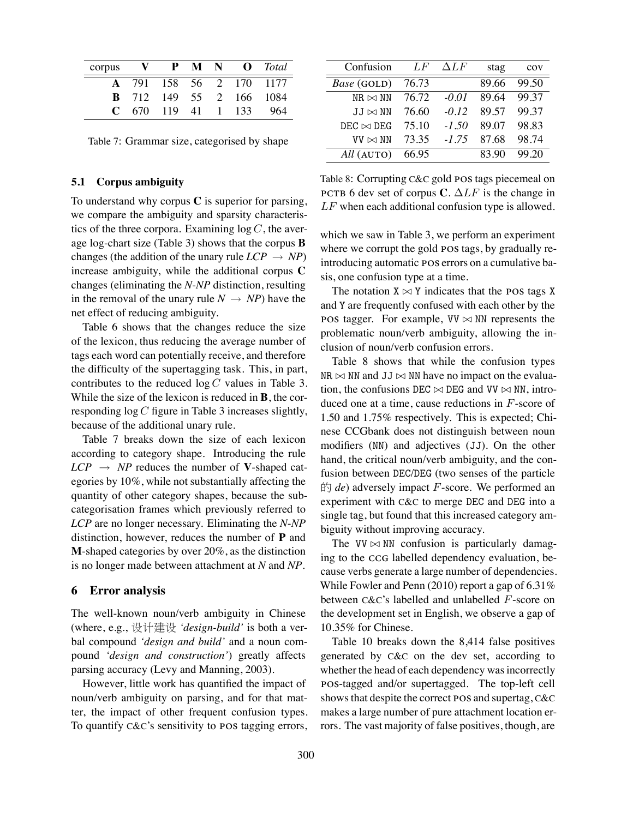| $\mathbf{corpus}$ $\mathbf{V}$ |  |  | <b>P M N O</b> <i>Total</i>    |
|--------------------------------|--|--|--------------------------------|
|                                |  |  | <b>A</b> 791 158 56 2 170 1177 |
|                                |  |  | <b>B</b> 712 149 55 2 166 1084 |
|                                |  |  | $C$ 670 119 41 1 133 964       |

Table 7: Grammar size, categorised by shape

#### **5.1 Corpus ambiguity**

To understand why corpus **C** is superior for parsing, we compare the ambiguity and sparsity characteristics of the three corpora. Examining  $log C$ , the average log-chart size (Table 3) shows that the corpus **B** changes (the addition of the unary rule  $LCP \rightarrow NP$ ) increase ambiguity, while the additional corpus **C** changes (eliminating the *N*-*NP* distinction, resulting in the removal of the unary rule  $N \rightarrow NP$ ) have the net effect of reducing ambiguity.

Table 6 shows that the changes reduce the size of the lexicon, thus reducing the average number of tags each word can potentially receive, and therefore the difficulty of the supertagging task. This, in part, contributes to the reduced log *C* values in Table 3. While the size of the lexicon is reduced in **B**, the corresponding log *C* figure in Table 3 increases slightly, because of the additional unary rule.

Table 7 breaks down the size of each lexicon according to category shape. Introducing the rule  $LCP \rightarrow NP$  reduces the number of **V**-shaped categories by 10%, while not substantially affecting the quantity of other category shapes, because the subcategorisation frames which previously referred to *LCP* are no longer necessary. Eliminating the *N*-*NP* distinction, however, reduces the number of **P** and **M**-shaped categories by over 20%, as the distinction is no longer made between attachment at *N* and *NP*.

### **6 Error analysis**

The well-known noun/verb ambiguity in Chinese (where, e.g., 设计建设 *'design-build'* is both a verbal compound *'design and build'* and a noun compound *'design and construction'*) greatly affects parsing accuracy (Levy and Manning, 2003).

However, little work has quantified the impact of noun/verb ambiguity on parsing, and for that matter, the impact of other frequent confusion types. To quantify  $C&C$ 's sensitivity to **POS** tagging errors,

| Confusion         | LF    | $\Delta L F$ | stag  | COV   |
|-------------------|-------|--------------|-------|-------|
| Base (GOLD)       | 76.73 |              | 89.66 | 99.50 |
| $NR \bowtie NN$   | 76.72 | $-0.01$      | 89.64 | 99.37 |
| $JJ \bowtie NN$   | 76.60 | $-0.12$      | 89.57 | 99.37 |
| $DEC \bowtie DEC$ | 75.10 | $-1.50$      | 89.07 | 98.83 |
| VV $\bowtie$ NN   | 73.35 | $-1.75$      | 87.68 | 98.74 |
| All (AUTO)        | 66.95 |              | 83.90 | 99.20 |

Table 8: Corrupting  $C\&C$  gold POS tags piecemeal on **РСТВ** 6 dev set of corpus **C**.  $\Delta LF$  is the change in *LF* when each additional confusion type is allowed.

which we saw in Table 3, we perform an experiment where we corrupt the gold POS tags, by gradually reintroducing automatic POS errors on a cumulative basis, one confusion type at a time.

The notation  $X \bowtie Y$  indicates that the **POS** tags X and Y are frequently confused with each other by the POS tagger. For example,  $VV \bowtie NN$  represents the problematic noun/verb ambiguity, allowing the inclusion of noun/verb confusion errors.

Table 8 shows that while the confusion types NR *▷◁* NN and JJ *▷◁* NN have no impact on the evaluation, the confusions DEC *▷◁* DEG and VV *▷◁* NN, introduced one at a time, cause reductions in *F*-score of 1.50 and 1.75% respectively. This is expected; Chinese CCGbank does not distinguish between noun modifiers (NN) and adjectives (JJ). On the other hand, the critical noun/verb ambiguity, and the confusion between DEC/DEG (two senses of the particle 的 *de*) adversely impact *F*-score. We performed an experiment with C&C to merge DEC and DEG into a single tag, but found that this increased category ambiguity without improving accuracy.

The  $VV \bowtie NN$  confusion is particularly damaging to the CCG labelled dependency evaluation, because verbs generate a large number of dependencies. While Fowler and Penn (2010) report a gap of 6.31% between C&C's labelled and unlabelled *F*-score on the development set in English, we observe a gap of 10.35% for Chinese.

Table 10 breaks down the 8,414 false positives generated by C&C on the dev set, according to whether the head of each dependency was incorrectly POS-tagged and/or supertagged. The top-left cell shows that despite the correct POS and supertag, C&C makes a large number of pure attachment location errors. The vast majority of false positives, though, are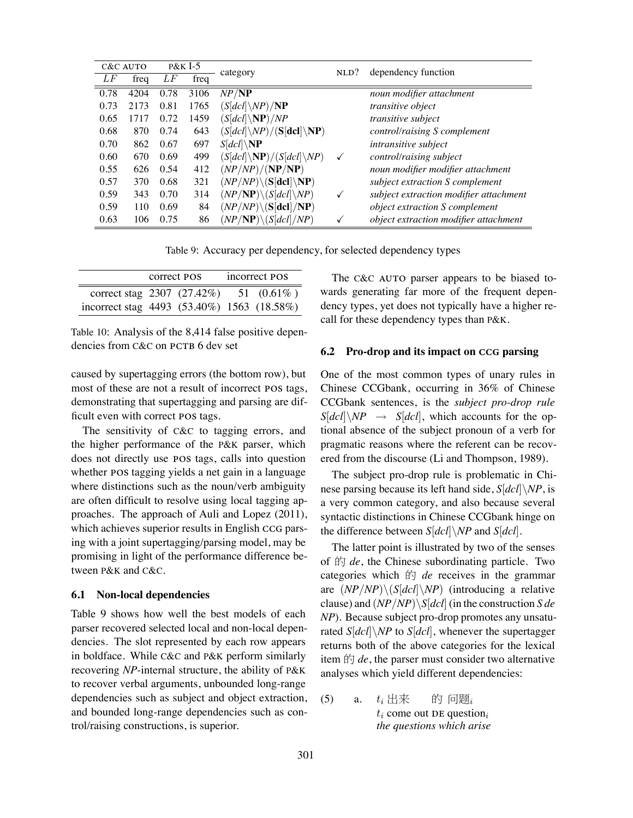|      | C&C AUTO |      | $P&K$ I-5 | category                                            | $NLD$ ?      | dependency function                    |
|------|----------|------|-----------|-----------------------------------------------------|--------------|----------------------------------------|
| LF   | freq     | LF   | freq      |                                                     |              |                                        |
| 0.78 | 4204     | 0.78 | 3106      | NP/NP                                               |              | noun modifier attachment               |
| 0.73 | 2173     | 0.81 | 1765      | $(S[dcl]\setminus NP)/{\bf NP}$                     |              | transitive object                      |
| 0.65 | 1717     | 0.72 | 1459      | $(S[dcl]\backslash \mathbf{NP})/NP$                 |              | transitive subject                     |
| 0.68 | 870      | 0.74 | 643       | $(S[dcl]\setminus NP)/ (S[dcl]\setminus NP)$        |              | control/raising S complement           |
| 0.70 | 862      | 0.67 | 697       | $S[dcl]\backslash {\bf NP}$                         |              | intransitive subject                   |
| 0.60 | 670      | 0.69 | 499       | $(S[dcl]\backslash {\bf NP})/(S[dcl]\backslash NP)$ | ✓            | control/raising subject                |
| 0.55 | 626      | 0.54 | 412       | (NP/NP)/(NP/NP)                                     |              | noun modifier modifier attachment      |
| 0.57 | 370      | 0.68 | 321       | $(NP/NP) \setminus (S[dcl] \setminus NP)$           |              | subject extraction S complement        |
| 0.59 | 343      | 0.70 | 314       | $(NP/NP)\setminus (S[dcl]\setminus NP)$             | ✓            | subject extraction modifier attachment |
| 0.59 | 110      | 0.69 | 84        | $(NP/NP) \setminus (S[del]/NP)$                     |              | object extraction S complement         |
| 0.63 | 106      | 0.75 | 86        | $(NP/NP) \setminus (S[dcl]/NP)$                     | $\checkmark$ | object extraction modifier attachment  |

Table 9: Accuracy per dependency, for selected dependency types

|                                             | correct POS | incorrect POS |
|---------------------------------------------|-------------|---------------|
| correct stag 2307 $(27.42\%)$ 51 $(0.61\%)$ |             |               |
| incorrect stag 4493 (53.40%) 1563 (18.58%)  |             |               |

Table 10: Analysis of the 8,414 false positive dependencies from C&C on PCTB 6 dev set

caused by supertagging errors (the bottom row), but most of these are not a result of incorrect POS tags, demonstrating that supertagging and parsing are difficult even with correct POS tags.

The sensitivity of C&C to tagging errors, and the higher performance of the P&K parser, which does not directly use POS tags, calls into question whether POS tagging yields a net gain in a language where distinctions such as the noun/verb ambiguity are often difficult to resolve using local tagging approaches. The approach of Auli and Lopez (2011), which achieves superior results in English CCG parsing with a joint supertagging/parsing model, may be promising in light of the performance difference between P&K and C&C.

## **6.1 Non-local dependencies**

Table 9 shows how well the best models of each parser recovered selected local and non-local dependencies. The slot represented by each row appears in boldface. While C&C and P&K perform similarly recovering *NP*-internal structure, the ability of P&K to recover verbal arguments, unbounded long-range dependencies such as subject and object extraction, and bounded long-range dependencies such as control/raising constructions, is superior.

The C&C AUTO parser appears to be biased towards generating far more of the frequent dependency types, yet does not typically have a higher recall for these dependency types than P&K.

## **6.2 Pro-drop and its impact on CCG parsing**

One of the most common types of unary rules in Chinese CCGbank, occurring in 36% of Chinese CCGbank sentences, is the *subject pro-drop rule*  $S[dc1]\setminus NP \rightarrow S[dc1]$ , which accounts for the optional absence of the subject pronoun of a verb for pragmatic reasons where the referent can be recovered from the discourse (Li and Thompson, 1989).

The subject pro-drop rule is problematic in Chinese parsing because its left hand side, *S*[*dcl*]*\NP*, is a very common category, and also because several syntactic distinctions in Chinese CCGbank hinge on the difference between *S*[*dcl*]*\NP* and *S*[*dcl*].

The latter point is illustrated by two of the senses of 的 *de*, the Chinese subordinating particle. Two categories which 的 *de* receives in the grammar are (*NP/NP*)*\*(*S*[*dcl*]*\NP*) (introducing a relative clause) and (*NP/NP*)*\S*[*dcl*] (in the construction *S de NP*). Because subject pro-drop promotes any unsaturated *S*[*dcl*]*\NP* to *S*[*dcl*], whenever the supertagger returns both of the above categories for the lexical item  $\sharp \exists de$ , the parser must consider two alternative analyses which yield different dependencies:

 $(5)$  a.  $t_i$  come out DE question<sub>i</sub>  $t_i$  出来 的 问题*<sup>i</sup> the questions which arise*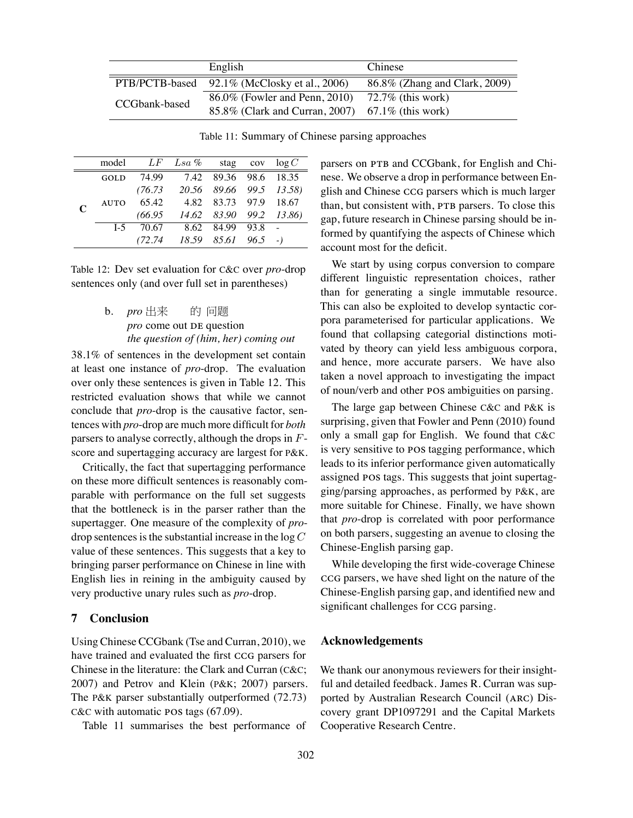|               | English                                          | Chinese                       |
|---------------|--------------------------------------------------|-------------------------------|
|               | PTB/PCTB-based 92.1% (McClosky et al., 2006)     | 86.8% (Zhang and Clark, 2009) |
| CCGbank-based | 86.0% (Fowler and Penn, 2010)                    | $72.7\%$ (this work)          |
|               | 85.8% (Clark and Curran, 2007) 67.1% (this work) |                               |

Table 11: Summary of Chinese parsing approaches

|             | model          |         | $LF$ Lsa %                                               |                       | stag cov $log C$ |
|-------------|----------------|---------|----------------------------------------------------------|-----------------------|------------------|
| $\mathbf C$ | <b>GOLD</b>    | 74.99   | 7.42 89.36 98.6 18.35                                    |                       |                  |
|             |                |         | $(76.73 \quad 20.56 \quad 89.66 \quad 99.5 \quad 13.58)$ |                       |                  |
|             | <b>AUTO</b>    | 65.42   |                                                          | 4.82 83.73 97.9 18.67 |                  |
|             |                |         | $(66.95 \quad 14.62 \quad 83.90 \quad 99.2 \quad 13.86)$ |                       |                  |
|             | L <sub>5</sub> | 70.67   | 8.62 84.99 93.8                                          |                       | $\sim 10$        |
|             |                | (72.74) | $18.59$ $85.61$ $96.5$ -)                                |                       |                  |

Table 12: Dev set evaluation for C&C over *pro*-drop sentences only (and over full set in parentheses)

> b. *pro* 出来 pro come out DE question 的 问题 *the question of (him, her) coming out*

38.1% of sentences in the development set contain at least one instance of *pro*-drop. The evaluation over only these sentences is given in Table 12. This restricted evaluation shows that while we cannot conclude that *pro*-drop is the causative factor, sentences with *pro*-drop are much more difficult for *both* parsers to analyse correctly, although the drops in *F*score and supertagging accuracy are largest for P&K.

Critically, the fact that supertagging performance on these more difficult sentences is reasonably comparable with performance on the full set suggests that the bottleneck is in the parser rather than the supertagger. One measure of the complexity of *pro*drop sentences is the substantial increase in the log *C* value of these sentences. This suggests that a key to bringing parser performance on Chinese in line with English lies in reining in the ambiguity caused by very productive unary rules such as *pro*-drop.

# **7 Conclusion**

Using Chinese CCGbank (Tse and Curran, 2010), we have trained and evaluated the first CCG parsers for Chinese in the literature: the Clark and Curran (C&C; 2007) and Petrov and Klein (P&K; 2007) parsers. The P&K parser substantially outperformed (72.73)  $C&C$  with automatic POS tags (67.09).

Table 11 summarises the best performance of

parsers on PTB and CCGbank, for English and Chinese. We observe a drop in performance between English and Chinese CCG parsers which is much larger than, but consistent with, PTB parsers. To close this gap, future research in Chinese parsing should be informed by quantifying the aspects of Chinese which account most for the deficit.

We start by using corpus conversion to compare different linguistic representation choices, rather than for generating a single immutable resource. This can also be exploited to develop syntactic corpora parameterised for particular applications. We found that collapsing categorial distinctions motivated by theory can yield less ambiguous corpora, and hence, more accurate parsers. We have also taken a novel approach to investigating the impact of noun/verb and other POS ambiguities on parsing.

The large gap between Chinese C&C and P&K is surprising, given that Fowler and Penn (2010) found only a small gap for English. We found that C&C is very sensitive to POS tagging performance, which leads to its inferior performance given automatically assigned POS tags. This suggests that joint supertagging/parsing approaches, as performed by P&K, are more suitable for Chinese. Finally, we have shown that *pro*-drop is correlated with poor performance on both parsers, suggesting an avenue to closing the Chinese-English parsing gap.

While developing the first wide-coverage Chinese ccG parsers, we have shed light on the nature of the Chinese-English parsing gap, and identified new and significant challenges for CCG parsing.

# **Acknowledgements**

We thank our anonymous reviewers for their insightful and detailed feedback. James R. Curran was supported by Australian Research Council (ARC) Discovery grant DP1097291 and the Capital Markets Cooperative Research Centre.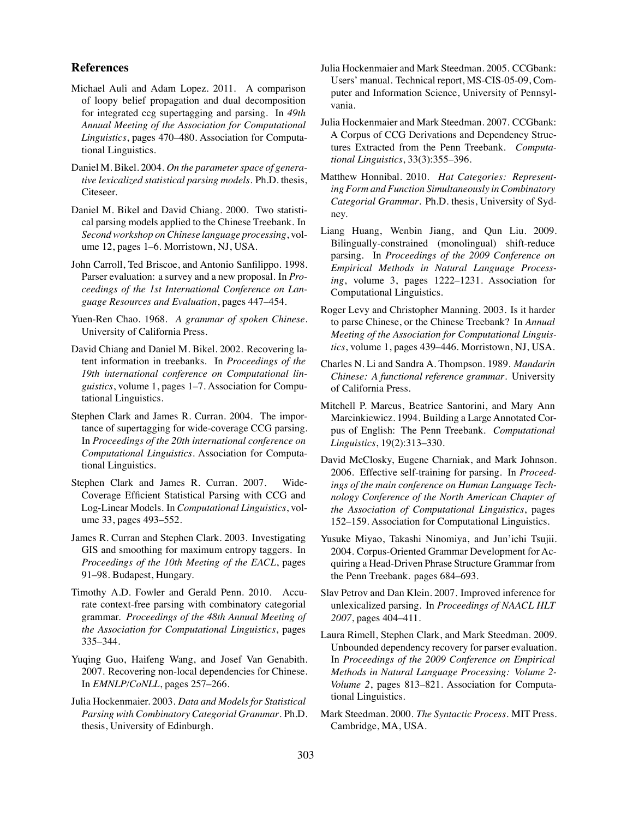# **References**

- Michael Auli and Adam Lopez. 2011. A comparison of loopy belief propagation and dual decomposition for integrated ccg supertagging and parsing. In *49th Annual Meeting of the Association for Computational Linguistics*, pages 470–480. Association for Computational Linguistics.
- Daniel M. Bikel. 2004. *On the parameter space of generative lexicalized statistical parsing models*. Ph.D. thesis, Citeseer.
- Daniel M. Bikel and David Chiang. 2000. Two statistical parsing models applied to the Chinese Treebank. In *Second workshop on Chinese language processing*, volume 12, pages 1–6. Morristown, NJ, USA.
- John Carroll, Ted Briscoe, and Antonio Sanfilippo. 1998. Parser evaluation: a survey and a new proposal. In *Proceedings of the 1st International Conference on Language Resources and Evaluation*, pages 447–454.
- Yuen-Ren Chao. 1968. *A grammar of spoken Chinese.* University of California Press.
- David Chiang and Daniel M. Bikel. 2002. Recovering latent information in treebanks. In *Proceedings of the 19th international conference on Computational linguistics*, volume 1, pages 1–7. Association for Computational Linguistics.
- Stephen Clark and James R. Curran. 2004. The importance of supertagging for wide-coverage CCG parsing. In *Proceedings of the 20th international conference on Computational Linguistics*. Association for Computational Linguistics.
- Stephen Clark and James R. Curran. 2007. Wide-Coverage Efficient Statistical Parsing with CCG and Log-Linear Models. In *Computational Linguistics*, volume 33, pages 493–552.
- James R. Curran and Stephen Clark. 2003. Investigating GIS and smoothing for maximum entropy taggers. In *Proceedings of the 10th Meeting of the EACL*, pages 91–98. Budapest, Hungary.
- Timothy A.D. Fowler and Gerald Penn. 2010. Accurate context-free parsing with combinatory categorial grammar. *Proceedings of the 48th Annual Meeting of the Association for Computational Linguistics*, pages 335–344.
- Yuqing Guo, Haifeng Wang, and Josef Van Genabith. 2007. Recovering non-local dependencies for Chinese. In *EMNLP/CoNLL*, pages 257–266.
- Julia Hockenmaier. 2003. *Data and Models for Statistical Parsing with Combinatory Categorial Grammar*. Ph.D. thesis, University of Edinburgh.
- Julia Hockenmaier and Mark Steedman. 2005. CCGbank: Users' manual. Technical report, MS-CIS-05-09, Computer and Information Science, University of Pennsylvania.
- Julia Hockenmaier and Mark Steedman. 2007. CCGbank: A Corpus of CCG Derivations and Dependency Structures Extracted from the Penn Treebank. *Computational Linguistics*, 33(3):355–396.
- Matthew Honnibal. 2010. *Hat Categories: Representing Form and Function Simultaneously in Combinatory Categorial Grammar*. Ph.D. thesis, University of Sydney.
- Liang Huang, Wenbin Jiang, and Qun Liu. 2009. Bilingually-constrained (monolingual) shift-reduce parsing. In *Proceedings of the 2009 Conference on Empirical Methods in Natural Language Processing*, volume 3, pages 1222–1231. Association for Computational Linguistics.
- Roger Levy and Christopher Manning. 2003. Is it harder to parse Chinese, or the Chinese Treebank? In *Annual Meeting of the Association for Computational Linguistics*, volume 1, pages 439–446. Morristown, NJ, USA.
- Charles N. Li and Sandra A. Thompson. 1989. *Mandarin Chinese: A functional reference grammar*. University of California Press.
- Mitchell P. Marcus, Beatrice Santorini, and Mary Ann Marcinkiewicz. 1994. Building a Large Annotated Corpus of English: The Penn Treebank. *Computational Linguistics*, 19(2):313–330.
- David McClosky, Eugene Charniak, and Mark Johnson. 2006. Effective self-training for parsing. In *Proceedings of the main conference on Human Language Technology Conference of the North American Chapter of the Association of Computational Linguistics*, pages 152–159. Association for Computational Linguistics.
- Yusuke Miyao, Takashi Ninomiya, and Jun'ichi Tsujii. 2004. Corpus-Oriented Grammar Development for Acquiring a Head-Driven Phrase Structure Grammar from the Penn Treebank. pages 684–693.
- Slav Petrov and Dan Klein. 2007. Improved inference for unlexicalized parsing. In *Proceedings of NAACL HLT 2007*, pages 404–411.
- Laura Rimell, Stephen Clark, and Mark Steedman. 2009. Unbounded dependency recovery for parser evaluation. In *Proceedings of the 2009 Conference on Empirical Methods in Natural Language Processing: Volume 2- Volume 2*, pages 813–821. Association for Computational Linguistics.
- Mark Steedman. 2000. *The Syntactic Process*. MIT Press. Cambridge, MA, USA.